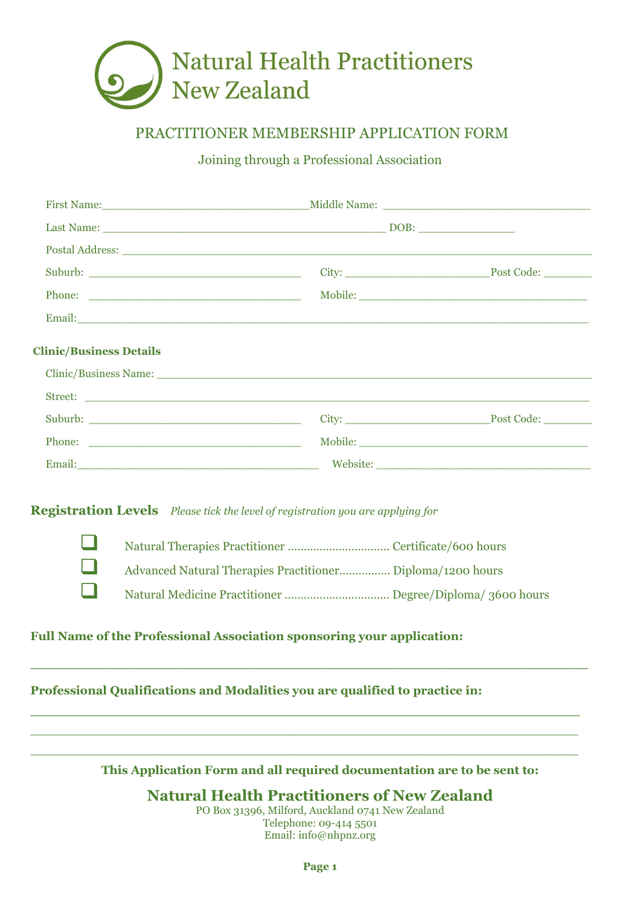

# PRACTITIONER MEMBERSHIP APPLICATION FORM

Joining through a Professional Association

| <b>Clinic/Business Details</b> |  |
|--------------------------------|--|
|                                |  |
|                                |  |
|                                |  |
|                                |  |
|                                |  |

**Registration Levels** *Please tick the level of registration you are applying for*



 ❑ Natural Therapies Practitioner ………………………….. Certificate/600 hours ❑ Advanced Natural Therapies Practitioner……………. Diploma/1200 hours ❑ Natural Medicine Practitioner …………………………… Degree/Diploma/ 3600 hours

## **Full Name of the Professional Association sponsoring your application:**

**Professional Qualifications and Modalities you are qualified to practice in:** 

**This Application Form and all required documentation are to be sent to:**

**\_\_\_\_\_\_\_\_\_\_\_\_\_\_\_\_\_\_\_\_\_\_\_\_\_\_\_\_\_\_\_\_\_\_\_\_\_\_\_\_\_\_\_\_\_\_\_\_\_\_\_\_\_\_\_\_\_\_\_\_\_\_\_\_\_\_\_**

**\_\_\_\_\_\_\_\_\_\_\_\_\_\_\_\_\_\_\_\_\_\_\_\_\_\_\_\_\_\_\_\_\_\_\_\_\_\_\_\_\_\_\_\_\_\_\_\_\_\_\_\_\_\_\_\_\_\_\_\_\_\_\_\_\_\_**  $\_$  , and the contribution of the contribution of  $\mathcal{L}_1$  , and the contribution of  $\mathcal{L}_2$  , and the contribution of  $\mathcal{L}_1$  $\_$  , and the set of the set of the set of the set of the set of the set of the set of the set of the set of the set of the set of the set of the set of the set of the set of the set of the set of the set of the set of th

**Natural Health Practitioners of New Zealand**

PO Box 31396, Milford, Auckland 0741 New Zealand Telephone: 09-414 5501 Email: info@nhpnz.org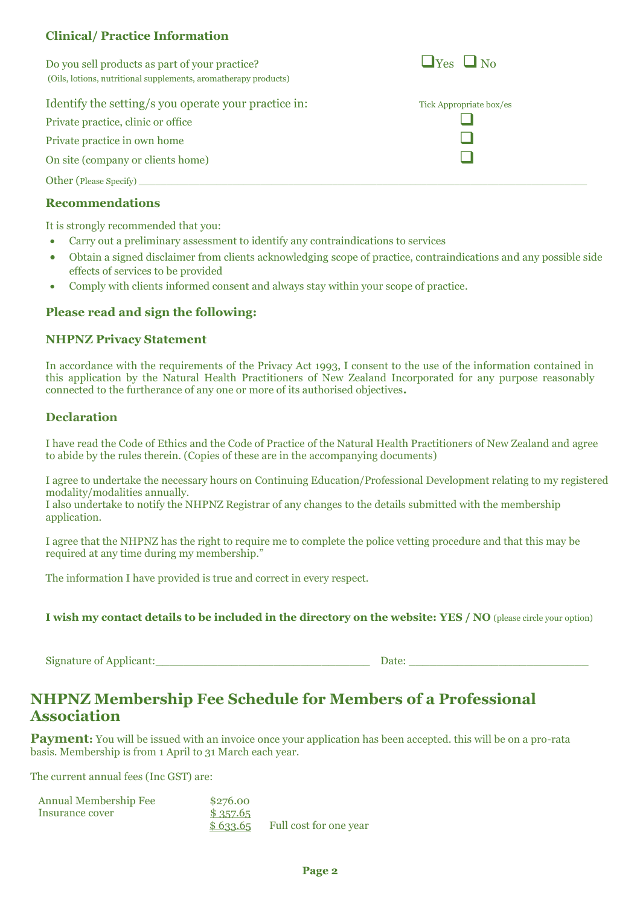## **Clinical/ Practice Information**

Do you sell products as part of your practice?  $\Box$  Yes  $\Box$  No (Oils, lotions, nutritional supplements, aromatherapy products)

#### Identify the setting/s you operate your practice in:

Private practice, clinic or office ❑

Private practice in own home

On site (company or clients home)

Other (Please Specify)

### **Recommendations**

It is strongly recommended that you:

- Carry out a preliminary assessment to identify any contraindications to services
- Obtain a signed disclaimer from clients acknowledging scope of practice, contraindications and any possible side effects of services to be provided
- Comply with clients informed consent and always stay within your scope of practice.

### **Please read and sign the following:**

#### **NHPNZ Privacy Statement**

In accordance with the requirements of the Privacy Act 1993, I consent to the use of the information contained in this application by the Natural Health Practitioners of New Zealand Incorporated for any purpose reasonably connected to the furtherance of any one or more of its authorised objectives**.**

### **Declaration**

I have read the Code of Ethics and the Code of Practice of the Natural Health Practitioners of New Zealand and agree to abide by the rules therein. (Copies of these are in the accompanying documents)

I agree to undertake the necessary hours on Continuing Education/Professional Development relating to my registered modality/modalities annually.

I also undertake to notify the NHPNZ Registrar of any changes to the details submitted with the membership application.

I agree that the NHPNZ has the right to require me to complete the police vetting procedure and that this may be required at any time during my membership."

The information I have provided is true and correct in every respect.

**I wish my contact details to be included in the directory on the website: YES / NO** (please circle your option)

Signature of Applicant:\_\_\_\_\_\_\_\_\_\_\_\_\_\_\_\_\_\_\_\_\_\_\_\_\_\_\_\_\_\_\_ Date: \_\_\_\_\_\_\_\_\_\_\_\_\_\_\_\_\_\_\_\_\_\_\_\_\_\_

# **NHPNZ Membership Fee Schedule for Members of a Professional Association**

**Payment:** You will be issued with an invoice once your application has been accepted, this will be on a pro-rata basis. Membership is from 1 April to 31 March each year.

The current annual fees (Inc GST) are:

| <b>Annual Membership Fee</b> | \$276.00 |                        |
|------------------------------|----------|------------------------|
| Insurance cover              | \$357.65 |                        |
|                              | \$633.65 | Full cost for one year |

| Tick Appropriate box/es |
|-------------------------|
|                         |
|                         |
|                         |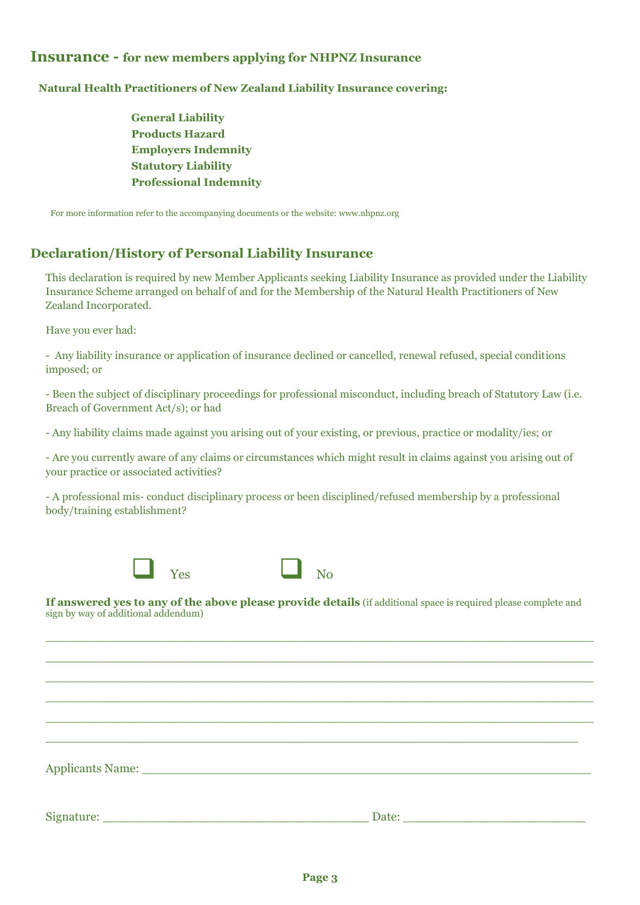## **Insurance - for new members applying for NHPNZ Insurance**

#### **Natural Health Practitioners of New Zealand Liability Insurance covering:**

 **General Liability Products Hazard Employers Indemnity Statutory Liability Professional Indemnity**

For more information refer to the accompanying documents or the website: [www.nhpnz.org](http://www.nhpnz.org/)

## **Declaration/History of Personal Liability Insurance**

This declaration is required by new Member Applicants seeking Liability Insurance as provided under the Liability Insurance Scheme arranged on behalf of and for the Membership of the Natural Health Practitioners of New Zealand Incorporated.

Have you ever had:

- Any liability insurance or application of insurance declined or cancelled, renewal refused, special conditions imposed; or

- Been the subject of disciplinary proceedings for professional misconduct, including breach of Statutory Law (i.e. Breach of Government Act/s); or had

- Any liability claims made against you arising out of your existing, or previous, practice or modality/ies; or

- Are you currently aware of any claims or circumstances which might result in claims against you arising out of your practice or associated activities?

- A professional mis- conduct disciplinary process or been disciplined/refused membership by a professional body/training establishment?



**If answered yes to any of the above please provide details** (if additional space is required please complete and sign by way of additional addendum)

 $\_$  , and the set of the set of the set of the set of the set of the set of the set of the set of the set of the set of the set of the set of the set of the set of the set of the set of the set of the set of the set of th  $\_$  , and the set of the set of the set of the set of the set of the set of the set of the set of the set of the set of the set of the set of the set of the set of the set of the set of the set of the set of the set of th  $\_$  , and the set of the set of the set of the set of the set of the set of the set of the set of the set of the set of the set of the set of the set of the set of the set of the set of the set of the set of the set of th  $\_$  , and the set of the set of the set of the set of the set of the set of the set of the set of the set of the set of the set of the set of the set of the set of the set of the set of the set of the set of the set of th  $\_$  , and the set of the set of the set of the set of the set of the set of the set of the set of the set of the set of the set of the set of the set of the set of the set of the set of the set of the set of the set of th

 $\_$  , and the set of the set of the set of the set of the set of the set of the set of the set of the set of the set of the set of the set of the set of the set of the set of the set of the set of the set of the set of th

| $\lambda = 1$ $\lambda$<br>Applicants i |  |
|-----------------------------------------|--|
|                                         |  |

Signature: \_\_\_\_\_\_\_\_\_\_\_\_\_\_\_\_\_\_\_\_\_\_\_\_\_\_\_\_\_\_\_\_\_\_\_ Date: \_\_\_\_\_\_\_\_\_\_\_\_\_\_\_\_\_\_\_\_\_\_\_\_